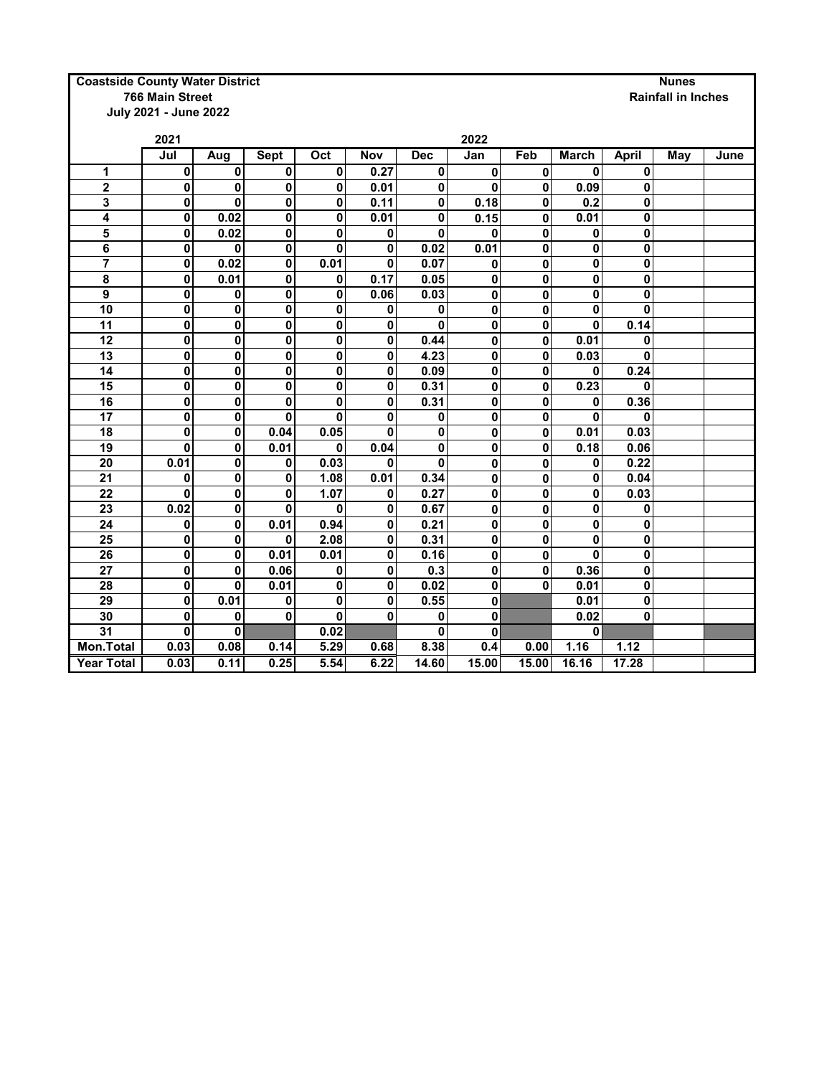## **Coastside County Water District**<br> **Rainfall in Irror Nunes**<br> **Rainfall in Irror Nunes**<br> **Rainfall in Irror Nunes**

**July 2021 - June 2022**

|                   | 2021        |                         |             | 2022                    |      |            |             |           |              |              |     |      |
|-------------------|-------------|-------------------------|-------------|-------------------------|------|------------|-------------|-----------|--------------|--------------|-----|------|
|                   | Jul         | Aug                     | <b>Sept</b> | Oct                     | Nov  | <b>Dec</b> | Jan         | Feb       | March        | <b>April</b> | May | June |
| 1                 | $\mathbf 0$ | 0                       | $\mathbf 0$ | 0                       | 0.27 | 0          | 0           | $\pmb{0}$ | $\bf{0}$     | $\mathbf{0}$ |     |      |
| 2                 | 0           | 0                       | $\mathbf 0$ | 0                       | 0.01 | 0          | 0           | 0         | 0.09         | $\mathbf{0}$ |     |      |
| 3                 | $\mathbf 0$ | 0                       | $\mathbf 0$ | 0                       | 0.11 | 0          | 0.18        | 0         | 0.2          | 0            |     |      |
| 4                 | $\mathbf 0$ | 0.02                    | $\mathbf 0$ | 0                       | 0.01 | 0          | 0.15        | 0         | 0.01         | 0            |     |      |
| 5                 | $\mathbf 0$ | 0.02                    | $\mathbf 0$ | 0                       | 0    | 0          | 0           | 0         | 0            | 0            |     |      |
| 6                 | $\mathbf 0$ | 0                       | $\bf{0}$    | 0                       | 0    | 0.02       | 0.01        | 0         | 0            | 0            |     |      |
| $\overline{7}$    | $\pmb{0}$   | 0.02                    | $\mathbf 0$ | 0.01                    | 0    | 0.07       | 0           | 0         | 0            | 0            |     |      |
| 8                 | $\mathbf 0$ | 0.01                    | 0           | 0                       | 0.17 | 0.05       | 0           | 0         | $\pmb{0}$    | 0            |     |      |
| 9                 | $\mathbf 0$ | 0                       | $\mathbf 0$ | 0                       | 0.06 | 0.03       | $\mathbf 0$ | 0         | $\mathbf{0}$ | 0            |     |      |
| 10                | $\mathbf 0$ | 0                       | $\mathbf 0$ | 0                       | 0    | 0          | 0           | 0         | 0            | 0            |     |      |
| 11                | $\mathbf 0$ | $\overline{\mathbf{0}}$ | $\bf{0}$    | 0                       | 0    | 0          | 0           | 0         | $\mathbf{0}$ | 0.14         |     |      |
| 12                | $\mathbf 0$ | $\pmb{0}$               | $\mathbf 0$ | 0                       | 0    | 0.44       | 0           | 0         | 0.01         | 0            |     |      |
| $\overline{13}$   | $\pmb{0}$   | $\overline{\mathbf{0}}$ | $\bf{0}$    | $\overline{\mathbf{0}}$ | 0    | 4.23       | 0           | 0         | 0.03         | 0            |     |      |
| $\overline{14}$   | $\pmb{0}$   | $\overline{\mathbf{0}}$ | $\bf{0}$    | 0                       | 0    | 0.09       | 0           | 0         | 0            | 0.24         |     |      |
| 15                | $\pmb{0}$   | $\overline{\mathbf{0}}$ | $\bf{0}$    | 0                       | 0    | 0.31       | 0           | 0         | 0.23         | 0            |     |      |
| 16                | $\pmb{0}$   | $\pmb{0}$               | $\mathbf 0$ | $\mathbf 0$             | 0    | 0.31       | 0           | 0         | 0            | 0.36         |     |      |
| 17                | $\mathbf 0$ | $\mathbf 0$             | $\bf{0}$    | $\mathbf 0$             | 0    | $\pmb{0}$  | 0           | 0         | $\mathbf{0}$ | $\mathbf{0}$ |     |      |
| 18                | $\mathbf 0$ | 0                       | 0.04        | 0.05                    | 0    | 0          | 0           | 0         | 0.01         | 0.03         |     |      |
| 19                | $\bf{0}$    | $\mathbf 0$             | 0.01        | 0                       | 0.04 | $\pmb{0}$  | 0           | 0         | 0.18         | 0.06         |     |      |
| 20                | 0.01        | 0                       | 0           | 0.03                    | 0    | $\bf{0}$   | 0           | 0         | 0            | 0.22         |     |      |
| 21                | $\mathbf 0$ | $\mathbf 0$             | $\mathbf 0$ | 1.08                    | 0.01 | 0.34       | 0           | 0         | $\mathbf{0}$ | 0.04         |     |      |
| 22                | $\bf{0}$    | 0                       | $\mathbf 0$ | 1.07                    | 0    | 0.27       | 0           | 0         | 0            | 0.03         |     |      |
| 23                | 0.02        | $\mathbf 0$             | $\bf{0}$    | $\bf{0}$                | 0    | 0.67       | 0           | 0         | 0            | 0            |     |      |
| 24                | 0           | 0                       | 0.01        | 0.94                    | 0    | 0.21       | 0           | 0         | 0            | 0            |     |      |
| 25                | $\mathbf 0$ | 0                       | $\bf{0}$    | 2.08                    | 0    | 0.31       | 0           | 0         | $\bf{0}$     | 0            |     |      |
| 26                | 0           | $\mathbf 0$             | 0.01        | 0.01                    | 0    | 0.16       | 0           | 0         | $\mathbf{0}$ | $\mathbf{0}$ |     |      |
| 27                | $\mathbf 0$ | 0                       | 0.06        | 0                       | 0    | 0.3        | 0           | 0         | 0.36         | 0            |     |      |
| 28                | $\mathbf 0$ | 0                       | 0.01        | $\mathbf 0$             | 0    | 0.02       | 0           | 0         | 0.01         | 0            |     |      |
| 29                | $\mathbf 0$ | 0.01                    | 0           | $\mathbf 0$             | 0    | 0.55       | 0           |           | 0.01         | 0            |     |      |
| 30                | 0           | 0                       | $\mathbf 0$ | 0                       | 0    | 0          | 0           |           | 0.02         | 0            |     |      |
| 31                | 0           | 0                       |             | 0.02                    |      | 0          | 0           |           | $\mathbf{0}$ |              |     |      |
| Mon. Total        | 0.03        | 0.08                    | 0.14        | 5.29                    | 0.68 | 8.38       | 0.4         | 0.00      | 1.16         | 1.12         |     |      |
| <b>Year Total</b> | 0.03        | 0.11                    | 0.25        | 5.54                    | 6.22 | 14.60      | 15.00       | 15.00     | 16.16        | 17.28        |     |      |

## **Rainfall in Inches**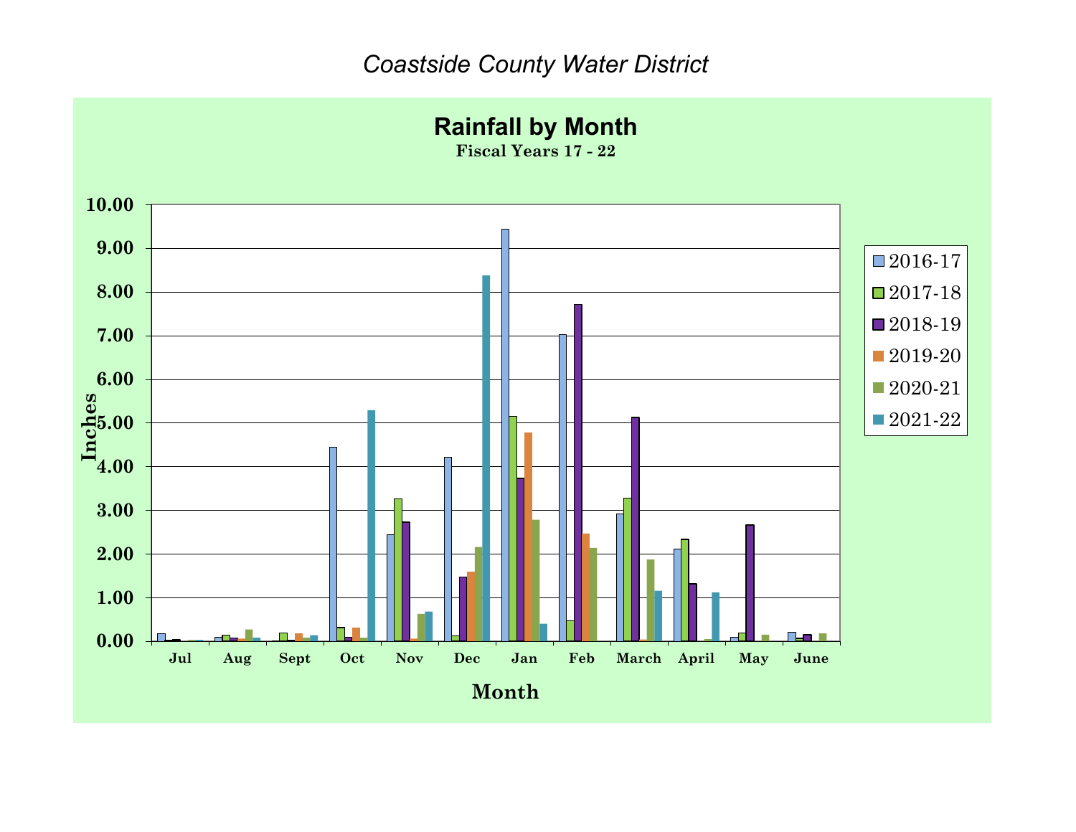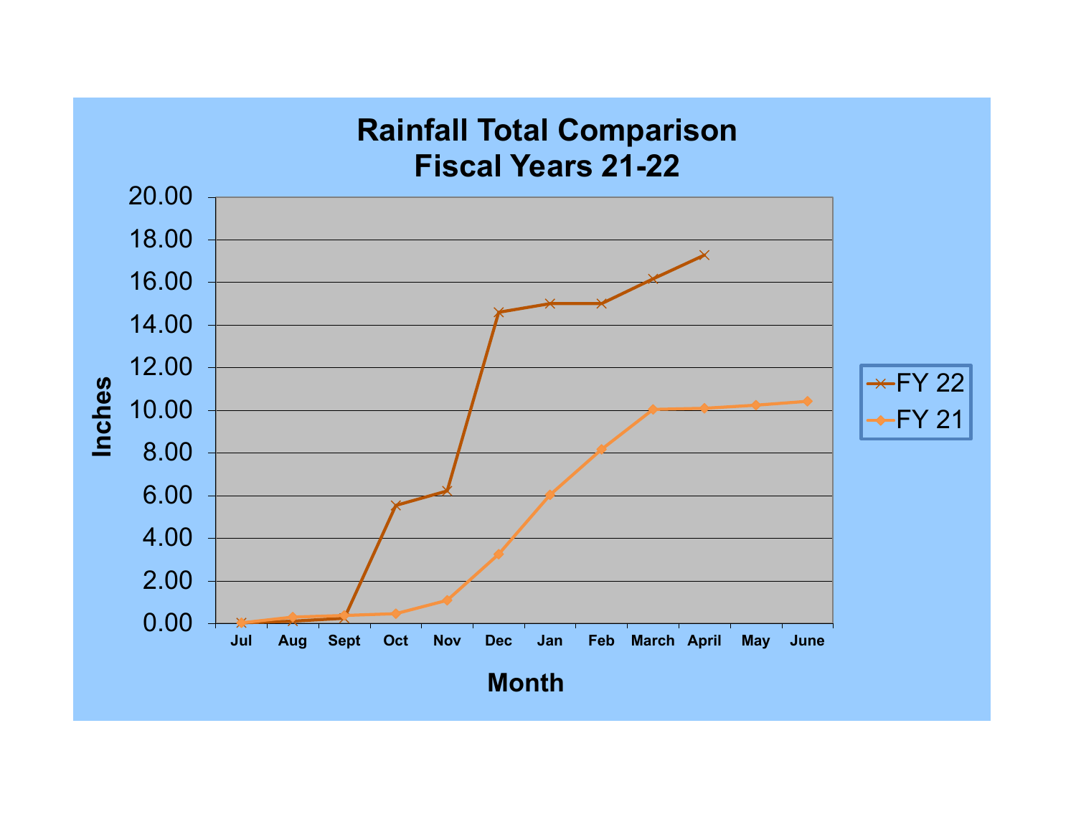